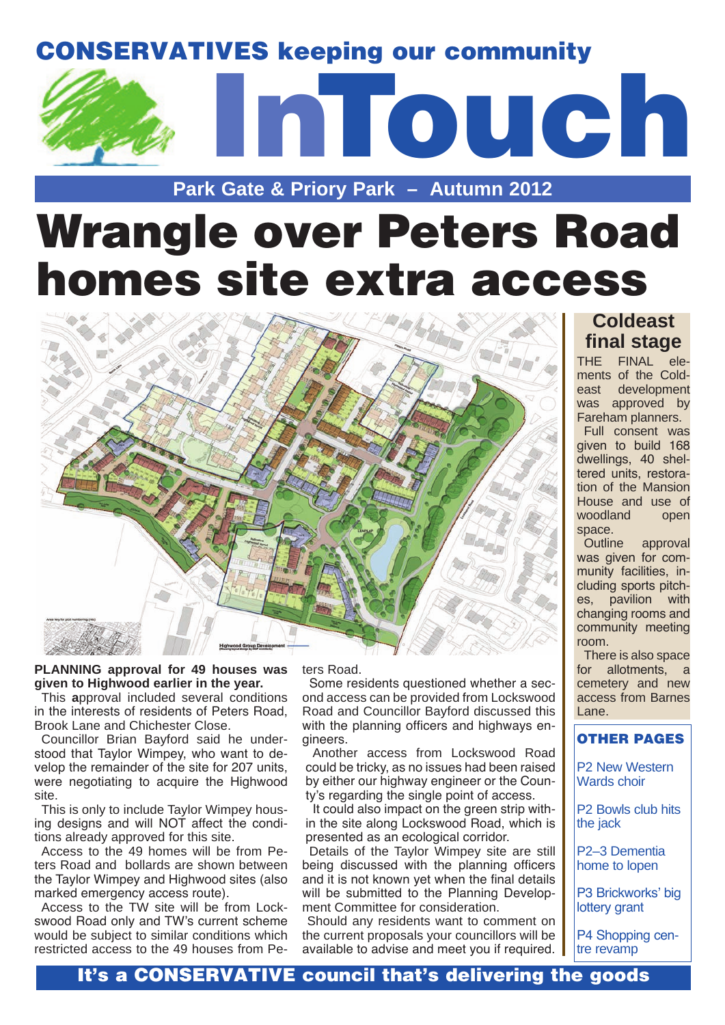### CONSERVATIVES keeping our community



### **Park Gate & Priory Park – Autumn 2012**

# Wrangle over Peters Road homes site extra access



#### **PLANNING approval for 49 houses was given to Highwood earlier in the year.**

This **a**pproval included several conditions in the interests of residents of Peters Road, Brook Lane and Chichester Close.

Councillor Brian Bayford said he understood that Taylor Wimpey, who want to develop the remainder of the site for 207 units, were negotiating to acquire the Highwood site.

This is only to include Taylor Wimpey housing designs and will NOT affect the conditions already approved for this site.

Access to the 49 homes will be from Peters Road and bollards are shown between the Taylor Wimpey and Highwood sites (also marked emergency access route).

Access to the TW site will be from Lockswood Road only and TW's current scheme would be subject to similar conditions which restricted access to the 49 houses from Peters Road.

Some residents questioned whether a second access can be provided from Lockswood Road and Councillor Bayford discussed this with the planning officers and highways engineers.

Another access from Lockswood Road could be tricky, as no issues had been raised by either our highway engineer or the County's regarding the single point of access.

It could also impact on the green strip within the site along Lockswood Road, which is presented as an ecological corridor.

Details of the Taylor Wimpey site are still being discussed with the planning officers and it is not known yet when the final details will be submitted to the Planning Development Committee for consideration.

 Should any residents want to comment on the current proposals your councillors will be available to advise and meet you if required.

### **Coldeast final stage**

THE FINAL elements of the Coldeast development was approved by Fareham planners. Full consent was given to build 168 dwellings, 40 sheltered units, restoration of the Mansion House and use of woodland open space.

Outline approval was given for community facilities, including sports pitches, pavilion with changing rooms and community meeting room.

There is also space for allotments, a cemetery and new access from Barnes Lane.

### OTHER PAGES

P2 New Western Wards choir

P2 Bowls club hits the jack

P2–3 Dementia home to lopen

P3 Brickworks' big lottery grant

P4 Shopping centre revamp

### It's a CONSERVATIVE council that's delivering the goods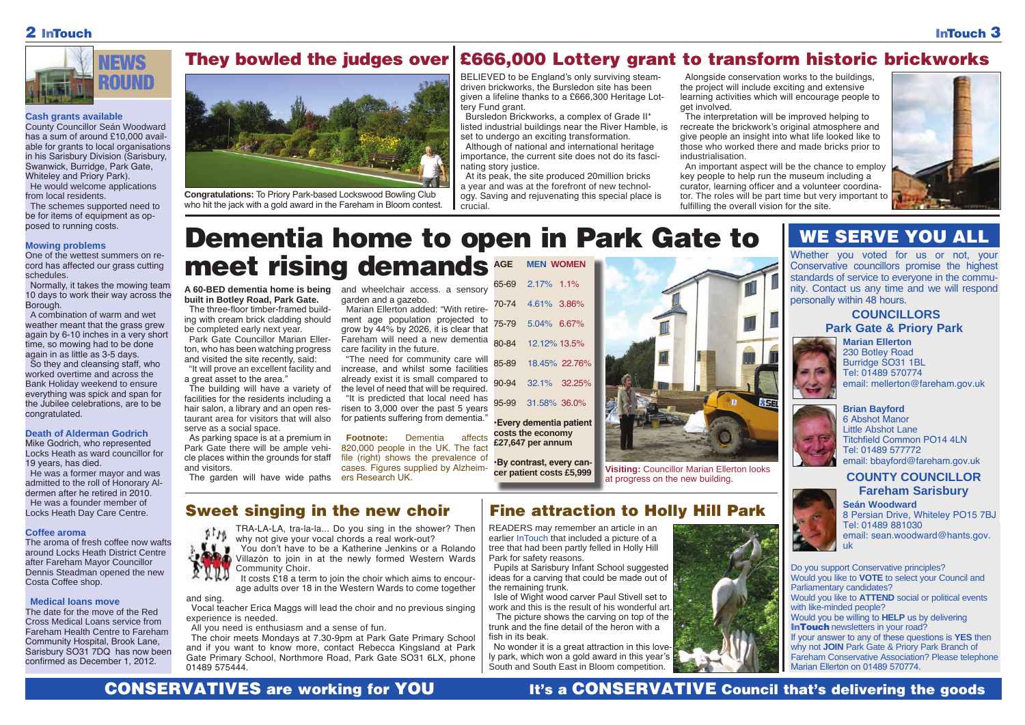



### 2 InTouch

Whether you voted for us or not, your Conservative councillors promise the highest standards of service to everyone in the community. Contact us any time and we will respond personally within 48 hours.

> **Brian Bayford** 6 Abshot Manor Little Abshot Lane Titchfield Common PO14 4LN Tel: 01489 577772 email: bbayford@fareham.gov.uk



**Marian Ellerton** 230 Botley Road Burridge SO31 1BL Tel: 01489 570774 email: mellerton@fareham.gov.uk



### **COUNCILLORS Park Gate & Priory Park**



Do you support Conservative principles? Would you like to **VOTE** to select your Council and Parliamentary candidates? Would you like to **ATTEND** social or political events with like-minded people? Would you be willing to **HELP** us by delivering **InTouch** newsletters in your road? If your answer to any of these questions is **YES** then why not **JOIN** Park Gate & Priory Park Branch of Fareham Conservative Association? Please telephone Marian Ellerton on 01489 570774.

#### **Cash grants available**

County Councillor Seán Woodward has a sum of around £10,000 available for grants to local organisations in his Sarisbury Division (Sarisbury, Swanwick, Burridge, Park Gate, Whiteley and Priory Park). He would welcome applications from local residents.

> **A 60-BED dementia home is being** and wheelchair access. a sensory **built in Botley Road, Park Gate.**

The schemes supported need to be for items of equipment as opposed to running costs.

#### **Mowing problems**

One of the wettest summers on record has affected our grass cutting schedules.

Normally, it takes the mowing team 10 days to work their way across the Borough.

A combination of warm and wet weather meant that the grass grew again by 6-10 inches in a very short time, so mowing had to be done again in as little as 3-5 days. So they and cleansing staff, who worked overtime and across the Bank Holiday weekend to ensure

everything was spick and span for the Jubilee celebrations, are to be congratulated.

#### **Death of Alderman Godrich**

Mike Godrich, who represented Locks Heath as ward councillor for 19 years, has died.



**Congratulations:** To Priory Park-based Lockswood Bowling Club who hit the jack with a gold award in the Fareham in Bloom contest.

He was a former mayor and was admitted to the roll of Honorary Aldermen after he retired in 2010. He was a founder member of Locks Heath Day Care Centre.

> TRA-LA-LA, tra-la-la... Do you sing in the shower? Then why not give your vocal chords a real work-out?

#### **Coffee aroma**

The aroma of fresh coffee now wafts around Locks Heath District Centre after Fareham Mayor Councillor Dennis Steadman opened the new Costa Coffee shop.

It costs £18 a term to join the choir which aims to encourage adults over 18 in the Western Wards to come together

**COUNTY COUNCILLOR Fareham Sarisbury** 8 Persian Drive, Whiteley PO15 7BJ

#### **Medical loans move**

The date for the move of the Red Cross Medical Loans service from Fareham Health Centre to Fareham Community Hospital, Brook Lane, Sarisbury SO31 7DQ has now been confirmed as December 1, 2012.



The three-floor timber-framed building with cream brick cladding should be completed early next year.

Park Gate Councillor Marian Ellerton, who has been watching progress and visited the site recently, said:

"It will prove an excellent facility and a great asset to the area."

The building will have a variety of facilities for the residents including a hair salon, a library and an open restaurant area for visitors that will also serve as a social space.

As parking space is at a premium in Park Gate there will be ample vehicle places within the grounds for staff and visitors.

garden and a gazebo.

Marian Ellerton added: "With retirement age population projected to grow by 44% by 2026, it is clear that Fareham will need a new dementia care facility in the future.

"The need for community care will increase, and whilst some facilities already exist it is small compared to the level of need that will be required.



**Visiting: Councillor Marian Ellerton looks** at progress on the new building.

The garden will have wide paths ers Research UK.

"It is predicted that local need has risen to 3,000 over the past 5 years for patients suffering from dementia."

**Footnote:** Dementia affects 820,000 people in the UK. The fact file (right) shows the prevalence of cases. Figures supplied by Alzheim-

> Tel: 01489 881030 email: sean.woodward@hants.gov. uk

## WE SERVE YOU ALL

You don't have to be a Katherine Jenkins or a Rolando Villazón to join in at the newly formed Western Wards Community Choir.

and sing.

Vocal teacher Erica Maggs will lead the choir and no previous singing experience is needed.

All you need is enthusiasm and a sense of fun.

The choir meets Mondays at 7.30-9pm at Park Gate Primary School and if you want to know more, contact Rebecca Kingsland at Park Gate Primary School, Northmore Road, Park Gate SO31 6LX, phone 01489 575444.

CONSERVATIVES are working for YOU It's a CONSERVATIVE Council that's delivering the goods

### **Sweet singing in the new choir Fine attraction to Holly Hill Park Read Moodward**

BELIEVED to be England's only surviving steamdriven brickworks, the Bursledon site has been given a lifeline thanks to a £666,300 Heritage Lottery Fund grant.

Bursledon Brickworks, a complex of Grade II\* listed industrial buildings near the River Hamble, is set to undergo an exciting transformation.

### They bowled the judges over £666,000 Lottery grant to transform historic brickworks

Although of national and international heritage importance, the current site does not do its fascinating story justice.

### Dementia home to open in Park Gate to meet rising demands **AGE MEN WOMEN**

At its peak, the site produced 20million bricks a year and was at the forefront of new technology. Saving and rejuvenating this special place is crucial.

Alongside conservation works to the buildings, the project will include exciting and extensive learning activities which will encourage people to get involved.

The interpretation will be improved helping to recreate the brickwork's original atmosphere and give people an insight into what life looked like to those who worked there and made bricks prior to industrialisation.

An important aspect will be the chance to employ key people to help run the museum including a curator, learning officer and a volunteer coordinator. The roles will be part time but very important to fulfilling the overall vision for the site.

READERS may remember an article in an earlier InTouch that included a picture of a tree that had been partly felled in Holly Hill Park for safety reasons.

Pupils at Sarisbury Infant School suggested ideas for a carving that could be made out of the remaining trunk.

Isle of Wight wood carver Paul Stivell set to work and this is the result of his wonderful art.

 The picture shows the carving on top of the trunk and the fine detail of the heron with a fish in its beak.

No wonder it is a great attraction in this lovely park, which won a gold award in this year's South and South East in Bloom competition.



|       | AGE MEN WOMEN       |
|-------|---------------------|
|       | 65-69 2.17% 1.1%    |
|       | 70-74 4.61% 3.86%   |
|       | 75-79 5.04% 6.67%   |
|       | 80-84 12.12% 13.5%  |
|       | 85-89 18.45% 22.76% |
| 90-94 | 32.1% 32.25%        |
|       | 95-99 31.58% 36.0%  |

**•Every dementia patient costs the economy £27,647 per annum**

**•By contrast, every can-**